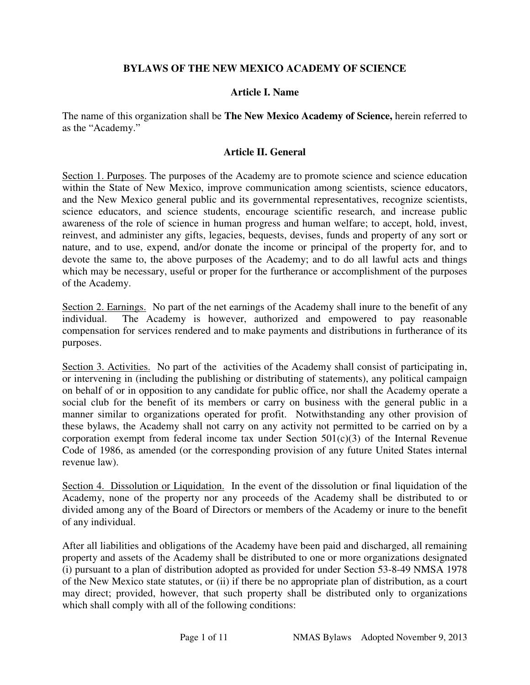## **BYLAWS OF THE NEW MEXICO ACADEMY OF SCIENCE**

### **Article I. Name**

The name of this organization shall be **The New Mexico Academy of Science,** herein referred to as the "Academy."

## **Article II. General**

Section 1. Purposes. The purposes of the Academy are to promote science and science education within the State of New Mexico, improve communication among scientists, science educators, and the New Mexico general public and its governmental representatives, recognize scientists, science educators, and science students, encourage scientific research, and increase public awareness of the role of science in human progress and human welfare; to accept, hold, invest, reinvest, and administer any gifts, legacies, bequests, devises, funds and property of any sort or nature, and to use, expend, and/or donate the income or principal of the property for, and to devote the same to, the above purposes of the Academy; and to do all lawful acts and things which may be necessary, useful or proper for the furtherance or accomplishment of the purposes of the Academy.

Section 2. Earnings. No part of the net earnings of the Academy shall inure to the benefit of any individual. The Academy is however, authorized and empowered to pay reasonable compensation for services rendered and to make payments and distributions in furtherance of its purposes.

Section 3. Activities. No part of the activities of the Academy shall consist of participating in, or intervening in (including the publishing or distributing of statements), any political campaign on behalf of or in opposition to any candidate for public office, nor shall the Academy operate a social club for the benefit of its members or carry on business with the general public in a manner similar to organizations operated for profit. Notwithstanding any other provision of these bylaws, the Academy shall not carry on any activity not permitted to be carried on by a corporation exempt from federal income tax under Section 501(c)(3) of the Internal Revenue Code of 1986, as amended (or the corresponding provision of any future United States internal revenue law).

Section 4. Dissolution or Liquidation. In the event of the dissolution or final liquidation of the Academy, none of the property nor any proceeds of the Academy shall be distributed to or divided among any of the Board of Directors or members of the Academy or inure to the benefit of any individual.

After all liabilities and obligations of the Academy have been paid and discharged, all remaining property and assets of the Academy shall be distributed to one or more organizations designated (i) pursuant to a plan of distribution adopted as provided for under Section 53-8-49 NMSA 1978 of the New Mexico state statutes, or (ii) if there be no appropriate plan of distribution, as a court may direct; provided, however, that such property shall be distributed only to organizations which shall comply with all of the following conditions: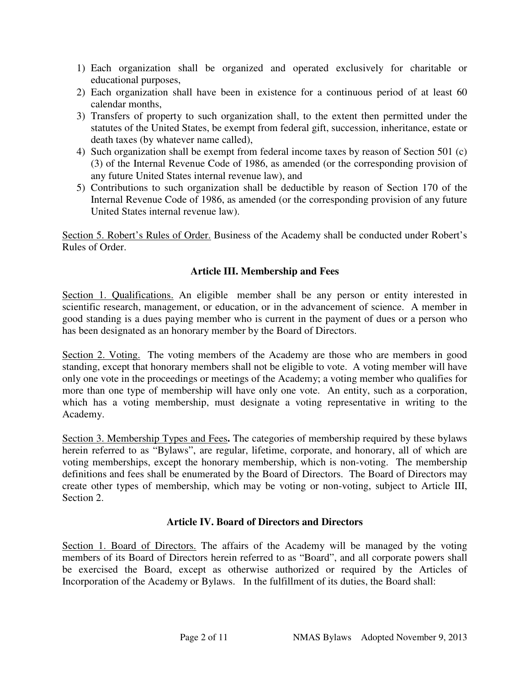- 1) Each organization shall be organized and operated exclusively for charitable or educational purposes,
- 2) Each organization shall have been in existence for a continuous period of at least 60 calendar months,
- 3) Transfers of property to such organization shall, to the extent then permitted under the statutes of the United States, be exempt from federal gift, succession, inheritance, estate or death taxes (by whatever name called),
- 4) Such organization shall be exempt from federal income taxes by reason of Section 501 (c) (3) of the Internal Revenue Code of 1986, as amended (or the corresponding provision of any future United States internal revenue law), and
- 5) Contributions to such organization shall be deductible by reason of Section 170 of the Internal Revenue Code of 1986, as amended (or the corresponding provision of any future United States internal revenue law).

Section 5. Robert's Rules of Order. Business of the Academy shall be conducted under Robert's Rules of Order.

# **Article III. Membership and Fees**

Section 1. Qualifications. An eligible member shall be any person or entity interested in scientific research, management, or education, or in the advancement of science. A member in good standing is a dues paying member who is current in the payment of dues or a person who has been designated as an honorary member by the Board of Directors.

Section 2. Voting. The voting members of the Academy are those who are members in good standing, except that honorary members shall not be eligible to vote. A voting member will have only one vote in the proceedings or meetings of the Academy; a voting member who qualifies for more than one type of membership will have only one vote. An entity, such as a corporation, which has a voting membership, must designate a voting representative in writing to the Academy.

Section 3. Membership Types and Fees**.** The categories of membership required by these bylaws herein referred to as "Bylaws", are regular, lifetime, corporate, and honorary, all of which are voting memberships, except the honorary membership, which is non-voting. The membership definitions and fees shall be enumerated by the Board of Directors. The Board of Directors may create other types of membership, which may be voting or non-voting, subject to Article III, Section 2.

## **Article IV. Board of Directors and Directors**

Section 1. Board of Directors. The affairs of the Academy will be managed by the voting members of its Board of Directors herein referred to as "Board", and all corporate powers shall be exercised the Board, except as otherwise authorized or required by the Articles of Incorporation of the Academy or Bylaws. In the fulfillment of its duties, the Board shall: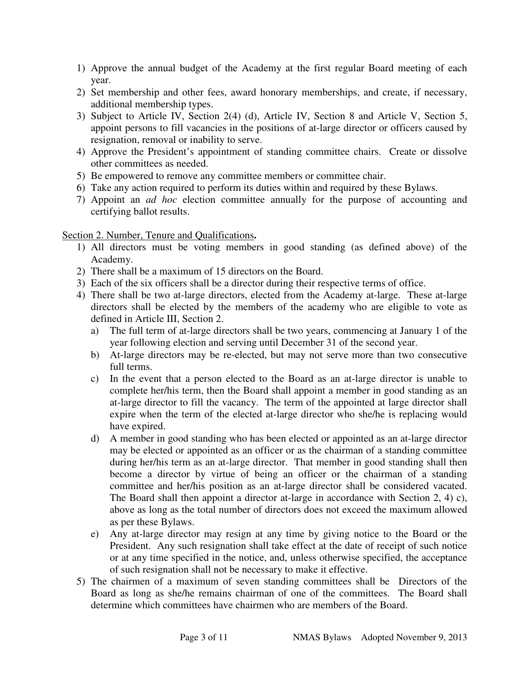- 1) Approve the annual budget of the Academy at the first regular Board meeting of each year.
- 2) Set membership and other fees, award honorary memberships, and create, if necessary, additional membership types.
- 3) Subject to Article IV, Section 2(4) (d), Article IV, Section 8 and Article V, Section 5, appoint persons to fill vacancies in the positions of at-large director or officers caused by resignation, removal or inability to serve.
- 4) Approve the President's appointment of standing committee chairs. Create or dissolve other committees as needed.
- 5) Be empowered to remove any committee members or committee chair.
- 6) Take any action required to perform its duties within and required by these Bylaws.
- 7) Appoint an *ad hoc* election committee annually for the purpose of accounting and certifying ballot results.

## Section 2. Number, Tenure and Qualifications**.**

- 1) All directors must be voting members in good standing (as defined above) of the Academy.
- 2) There shall be a maximum of 15 directors on the Board.
- 3) Each of the six officers shall be a director during their respective terms of office.
- 4) There shall be two at-large directors, elected from the Academy at-large. These at-large directors shall be elected by the members of the academy who are eligible to vote as defined in Article III, Section 2.
	- a) The full term of at-large directors shall be two years, commencing at January 1 of the year following election and serving until December 31 of the second year.
	- b) At-large directors may be re-elected, but may not serve more than two consecutive full terms.
	- c) In the event that a person elected to the Board as an at-large director is unable to complete her/his term, then the Board shall appoint a member in good standing as an at-large director to fill the vacancy. The term of the appointed at large director shall expire when the term of the elected at-large director who she/he is replacing would have expired.
	- d) A member in good standing who has been elected or appointed as an at-large director may be elected or appointed as an officer or as the chairman of a standing committee during her/his term as an at-large director. That member in good standing shall then become a director by virtue of being an officer or the chairman of a standing committee and her/his position as an at-large director shall be considered vacated. The Board shall then appoint a director at-large in accordance with Section 2, 4) c), above as long as the total number of directors does not exceed the maximum allowed as per these Bylaws.
	- e) Any at-large director may resign at any time by giving notice to the Board or the President. Any such resignation shall take effect at the date of receipt of such notice or at any time specified in the notice, and, unless otherwise specified, the acceptance of such resignation shall not be necessary to make it effective.
- 5) The chairmen of a maximum of seven standing committees shall be Directors of the Board as long as she/he remains chairman of one of the committees. The Board shall determine which committees have chairmen who are members of the Board.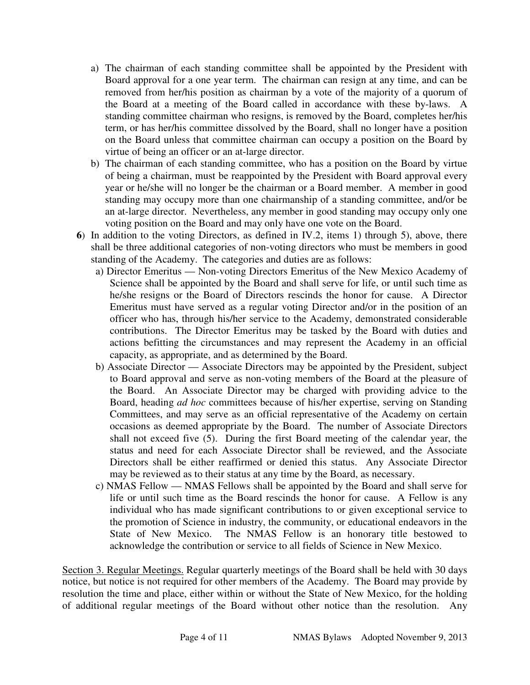- a) The chairman of each standing committee shall be appointed by the President with Board approval for a one year term. The chairman can resign at any time, and can be removed from her/his position as chairman by a vote of the majority of a quorum of the Board at a meeting of the Board called in accordance with these by-laws. A standing committee chairman who resigns, is removed by the Board, completes her/his term, or has her/his committee dissolved by the Board, shall no longer have a position on the Board unless that committee chairman can occupy a position on the Board by virtue of being an officer or an at-large director.
- b) The chairman of each standing committee, who has a position on the Board by virtue of being a chairman, must be reappointed by the President with Board approval every year or he/she will no longer be the chairman or a Board member. A member in good standing may occupy more than one chairmanship of a standing committee, and/or be an at-large director. Nevertheless, any member in good standing may occupy only one voting position on the Board and may only have one vote on the Board.
- **6**) In addition to the voting Directors, as defined in IV.2, items 1) through 5), above, there shall be three additional categories of non-voting directors who must be members in good standing of the Academy. The categories and duties are as follows:
	- a) Director Emeritus Non-voting Directors Emeritus of the New Mexico Academy of Science shall be appointed by the Board and shall serve for life, or until such time as he/she resigns or the Board of Directors rescinds the honor for cause. A Director Emeritus must have served as a regular voting Director and/or in the position of an officer who has, through his/her service to the Academy, demonstrated considerable contributions. The Director Emeritus may be tasked by the Board with duties and actions befitting the circumstances and may represent the Academy in an official capacity, as appropriate, and as determined by the Board.
	- b) Associate Director Associate Directors may be appointed by the President, subject to Board approval and serve as non-voting members of the Board at the pleasure of the Board. An Associate Director may be charged with providing advice to the Board, heading *ad hoc* committees because of his/her expertise, serving on Standing Committees, and may serve as an official representative of the Academy on certain occasions as deemed appropriate by the Board. The number of Associate Directors shall not exceed five (5). During the first Board meeting of the calendar year, the status and need for each Associate Director shall be reviewed, and the Associate Directors shall be either reaffirmed or denied this status. Any Associate Director may be reviewed as to their status at any time by the Board, as necessary.
	- c) NMAS Fellow NMAS Fellows shall be appointed by the Board and shall serve for life or until such time as the Board rescinds the honor for cause. A Fellow is any individual who has made significant contributions to or given exceptional service to the promotion of Science in industry, the community, or educational endeavors in the State of New Mexico. The NMAS Fellow is an honorary title bestowed to acknowledge the contribution or service to all fields of Science in New Mexico.

Section 3. Regular Meetings. Regular quarterly meetings of the Board shall be held with 30 days notice, but notice is not required for other members of the Academy. The Board may provide by resolution the time and place, either within or without the State of New Mexico, for the holding of additional regular meetings of the Board without other notice than the resolution. Any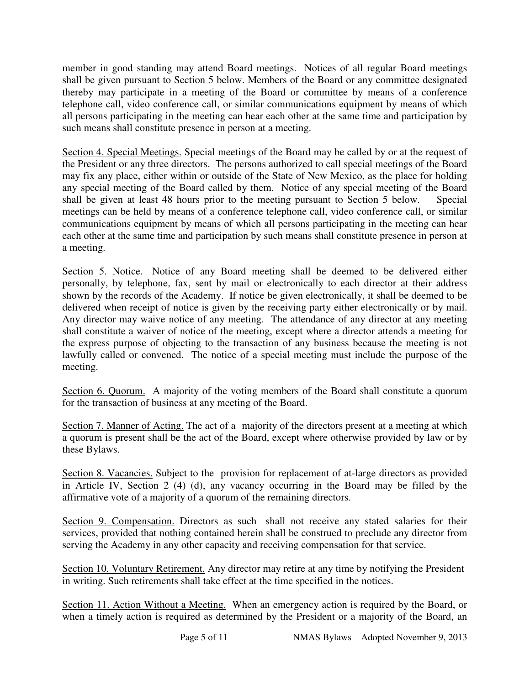member in good standing may attend Board meetings. Notices of all regular Board meetings shall be given pursuant to Section 5 below. Members of the Board or any committee designated thereby may participate in a meeting of the Board or committee by means of a conference telephone call, video conference call, or similar communications equipment by means of which all persons participating in the meeting can hear each other at the same time and participation by such means shall constitute presence in person at a meeting.

Section 4. Special Meetings. Special meetings of the Board may be called by or at the request of the President or any three directors. The persons authorized to call special meetings of the Board may fix any place, either within or outside of the State of New Mexico, as the place for holding any special meeting of the Board called by them. Notice of any special meeting of the Board shall be given at least 48 hours prior to the meeting pursuant to Section 5 below. Special meetings can be held by means of a conference telephone call, video conference call, or similar communications equipment by means of which all persons participating in the meeting can hear each other at the same time and participation by such means shall constitute presence in person at a meeting.

Section 5. Notice. Notice of any Board meeting shall be deemed to be delivered either personally, by telephone, fax, sent by mail or electronically to each director at their address shown by the records of the Academy. If notice be given electronically, it shall be deemed to be delivered when receipt of notice is given by the receiving party either electronically or by mail. Any director may waive notice of any meeting. The attendance of any director at any meeting shall constitute a waiver of notice of the meeting, except where a director attends a meeting for the express purpose of objecting to the transaction of any business because the meeting is not lawfully called or convened. The notice of a special meeting must include the purpose of the meeting.

Section 6. Quorum. A majority of the voting members of the Board shall constitute a quorum for the transaction of business at any meeting of the Board.

Section 7. Manner of Acting. The act of a majority of the directors present at a meeting at which a quorum is present shall be the act of the Board, except where otherwise provided by law or by these Bylaws.

Section 8. Vacancies. Subject to the provision for replacement of at-large directors as provided in Article IV, Section 2 (4) (d), any vacancy occurring in the Board may be filled by the affirmative vote of a majority of a quorum of the remaining directors.

Section 9. Compensation. Directors as such shall not receive any stated salaries for their services, provided that nothing contained herein shall be construed to preclude any director from serving the Academy in any other capacity and receiving compensation for that service.

Section 10. Voluntary Retirement. Any director may retire at any time by notifying the President in writing. Such retirements shall take effect at the time specified in the notices.

Section 11. Action Without a Meeting. When an emergency action is required by the Board, or when a timely action is required as determined by the President or a majority of the Board, an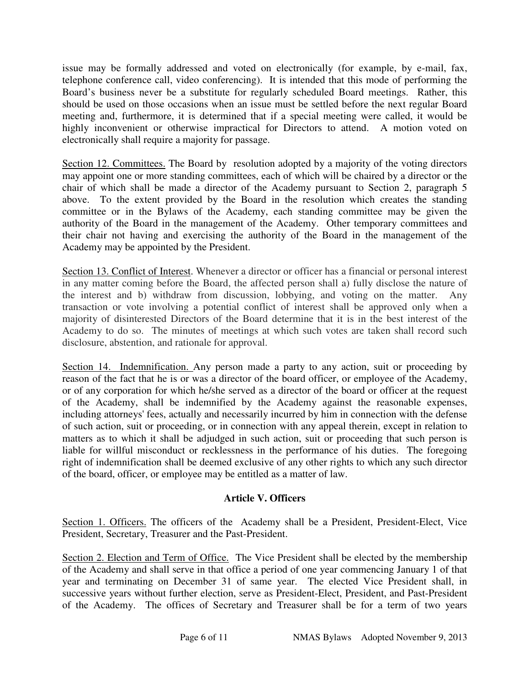issue may be formally addressed and voted on electronically (for example, by e-mail, fax, telephone conference call, video conferencing). It is intended that this mode of performing the Board's business never be a substitute for regularly scheduled Board meetings. Rather, this should be used on those occasions when an issue must be settled before the next regular Board meeting and, furthermore, it is determined that if a special meeting were called, it would be highly inconvenient or otherwise impractical for Directors to attend. A motion voted on electronically shall require a majority for passage.

Section 12. Committees. The Board by resolution adopted by a majority of the voting directors may appoint one or more standing committees, each of which will be chaired by a director or the chair of which shall be made a director of the Academy pursuant to Section 2, paragraph 5 above. To the extent provided by the Board in the resolution which creates the standing committee or in the Bylaws of the Academy, each standing committee may be given the authority of the Board in the management of the Academy. Other temporary committees and their chair not having and exercising the authority of the Board in the management of the Academy may be appointed by the President.

Section 13. Conflict of Interest. Whenever a director or officer has a financial or personal interest in any matter coming before the Board, the affected person shall a) fully disclose the nature of the interest and b) withdraw from discussion, lobbying, and voting on the matter. Any transaction or vote involving a potential conflict of interest shall be approved only when a majority of disinterested Directors of the Board determine that it is in the best interest of the Academy to do so. The minutes of meetings at which such votes are taken shall record such disclosure, abstention, and rationale for approval.

Section 14. Indemnification. Any person made a party to any action, suit or proceeding by reason of the fact that he is or was a director of the board officer, or employee of the Academy, or of any corporation for which he/she served as a director of the board or officer at the request of the Academy, shall be indemnified by the Academy against the reasonable expenses, including attorneys' fees, actually and necessarily incurred by him in connection with the defense of such action, suit or proceeding, or in connection with any appeal therein, except in relation to matters as to which it shall be adjudged in such action, suit or proceeding that such person is liable for willful misconduct or recklessness in the performance of his duties. The foregoing right of indemnification shall be deemed exclusive of any other rights to which any such director of the board, officer, or employee may be entitled as a matter of law.

## **Article V. Officers**

Section 1. Officers. The officers of the Academy shall be a President, President-Elect, Vice President, Secretary, Treasurer and the Past-President.

Section 2. Election and Term of Office. The Vice President shall be elected by the membership of the Academy and shall serve in that office a period of one year commencing January 1 of that year and terminating on December 31 of same year. The elected Vice President shall, in successive years without further election, serve as President-Elect, President, and Past-President of the Academy. The offices of Secretary and Treasurer shall be for a term of two years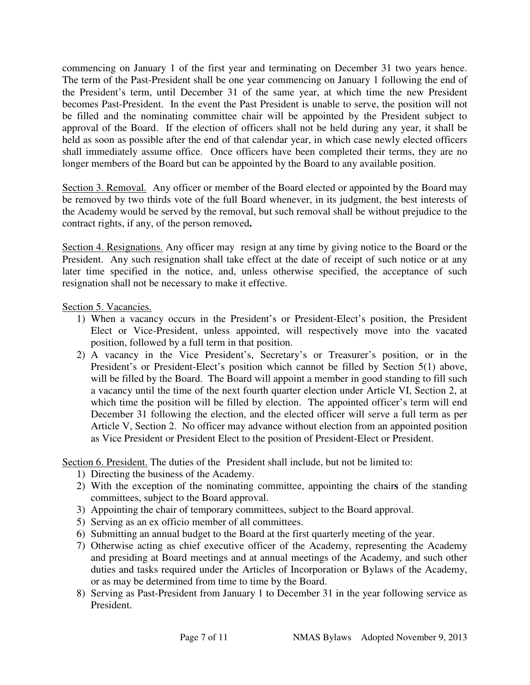commencing on January 1 of the first year and terminating on December 31 two years hence. The term of the Past-President shall be one year commencing on January 1 following the end of the President's term, until December 31 of the same year, at which time the new President becomes Past-President. In the event the Past President is unable to serve, the position will not be filled and the nominating committee chair will be appointed by the President subject to approval of the Board. If the election of officers shall not be held during any year, it shall be held as soon as possible after the end of that calendar year, in which case newly elected officers shall immediately assume office. Once officers have been completed their terms, they are no longer members of the Board but can be appointed by the Board to any available position.

Section 3. Removal. Any officer or member of the Board elected or appointed by the Board may be removed by two thirds vote of the full Board whenever, in its judgment, the best interests of the Academy would be served by the removal, but such removal shall be without prejudice to the contract rights, if any, of the person removed**.** 

Section 4. Resignations. Any officer may resign at any time by giving notice to the Board or the President. Any such resignation shall take effect at the date of receipt of such notice or at any later time specified in the notice, and, unless otherwise specified, the acceptance of such resignation shall not be necessary to make it effective.

Section 5. Vacancies.

- 1) When a vacancy occurs in the President's or President-Elect's position, the President Elect or Vice-President, unless appointed, will respectively move into the vacated position, followed by a full term in that position.
- 2) A vacancy in the Vice President's, Secretary's or Treasurer's position, or in the President's or President-Elect's position which cannot be filled by Section 5(1) above, will be filled by the Board. The Board will appoint a member in good standing to fill such a vacancy until the time of the next fourth quarter election under Article VI, Section 2, at which time the position will be filled by election. The appointed officer's term will end December 31 following the election, and the elected officer will serve a full term as per Article V, Section 2. No officer may advance without election from an appointed position as Vice President or President Elect to the position of President-Elect or President.

Section 6. President. The duties of the President shall include, but not be limited to:

- 1) Directing the business of the Academy.
- 2) With the exception of the nominating committee, appointing the chair**s** of the standing committees, subject to the Board approval.
- 3) Appointing the chair of temporary committees, subject to the Board approval.
- 5) Serving as an ex officio member of all committees.
- 6) Submitting an annual budget to the Board at the first quarterly meeting of the year.
- 7) Otherwise acting as chief executive officer of the Academy, representing the Academy and presiding at Board meetings and at annual meetings of the Academy, and such other duties and tasks required under the Articles of Incorporation or Bylaws of the Academy, or as may be determined from time to time by the Board.
- 8) Serving as Past-President from January 1 to December 31 in the year following service as President.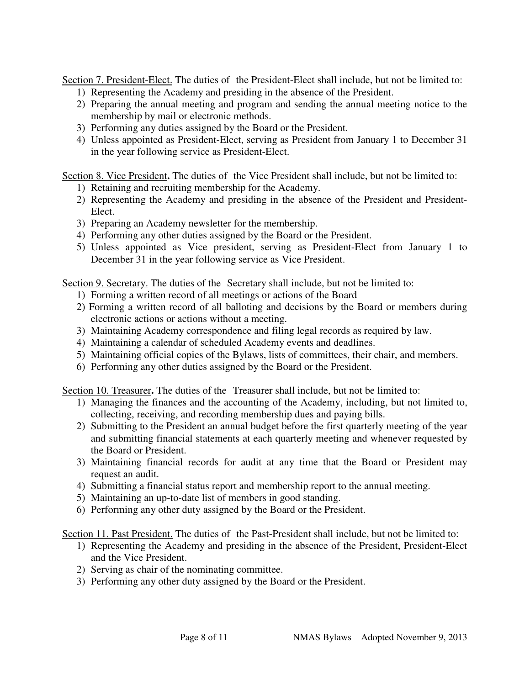Section 7. President-Elect. The duties of the President-Elect shall include, but not be limited to:

- 1) Representing the Academy and presiding in the absence of the President.
- 2) Preparing the annual meeting and program and sending the annual meeting notice to the membership by mail or electronic methods.
- 3) Performing any duties assigned by the Board or the President.
- 4) Unless appointed as President-Elect, serving as President from January 1 to December 31 in the year following service as President-Elect.

Section 8. Vice President**.** The duties of the Vice President shall include, but not be limited to:

- 1) Retaining and recruiting membership for the Academy.
- 2) Representing the Academy and presiding in the absence of the President and President-Elect.
- 3) Preparing an Academy newsletter for the membership.
- 4) Performing any other duties assigned by the Board or the President.
- 5) Unless appointed as Vice president, serving as President-Elect from January 1 to December 31 in the year following service as Vice President.

Section 9. Secretary. The duties of the Secretary shall include, but not be limited to:

- 1) Forming a written record of all meetings or actions of the Board
- 2) Forming a written record of all balloting and decisions by the Board or members during electronic actions or actions without a meeting.
- 3) Maintaining Academy correspondence and filing legal records as required by law.
- 4) Maintaining a calendar of scheduled Academy events and deadlines.
- 5) Maintaining official copies of the Bylaws, lists of committees, their chair, and members.
- 6) Performing any other duties assigned by the Board or the President.

Section 10. Treasurer**.** The duties of the Treasurer shall include, but not be limited to:

- 1) Managing the finances and the accounting of the Academy, including, but not limited to, collecting, receiving, and recording membership dues and paying bills.
- 2) Submitting to the President an annual budget before the first quarterly meeting of the year and submitting financial statements at each quarterly meeting and whenever requested by the Board or President.
- 3) Maintaining financial records for audit at any time that the Board or President may request an audit.
- 4) Submitting a financial status report and membership report to the annual meeting.
- 5) Maintaining an up-to-date list of members in good standing.
- 6) Performing any other duty assigned by the Board or the President.

Section 11. Past President. The duties of the Past-President shall include, but not be limited to:

- 1) Representing the Academy and presiding in the absence of the President, President-Elect and the Vice President.
- 2) Serving as chair of the nominating committee.
- 3) Performing any other duty assigned by the Board or the President.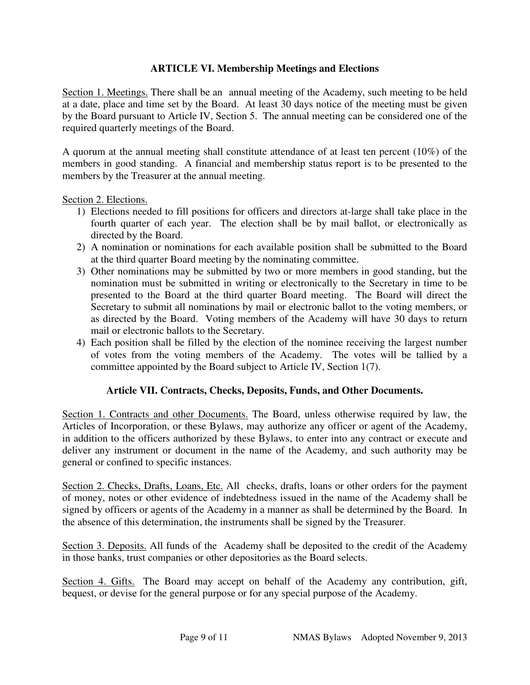## **ARTICLE VI. Membership Meetings and Elections**

Section 1. Meetings. There shall be an annual meeting of the Academy, such meeting to be held at a date, place and time set by the Board. At least 30 days notice of the meeting must be given by the Board pursuant to Article IV, Section 5. The annual meeting can be considered one of the required quarterly meetings of the Board.

A quorum at the annual meeting shall constitute attendance of at least ten percent (10%) of the members in good standing. A financial and membership status report is to be presented to the members by the Treasurer at the annual meeting.

#### Section 2. Elections.

- 1) Elections needed to fill positions for officers and directors at-large shall take place in the fourth quarter of each year. The election shall be by mail ballot, or electronically as directed by the Board.
- 2) A nomination or nominations for each available position shall be submitted to the Board at the third quarter Board meeting by the nominating committee.
- 3) Other nominations may be submitted by two or more members in good standing, but the nomination must be submitted in writing or electronically to the Secretary in time to be presented to the Board at the third quarter Board meeting. The Board will direct the Secretary to submit all nominations by mail or electronic ballot to the voting members, or as directed by the Board. Voting members of the Academy will have 30 days to return mail or electronic ballots to the Secretary.
- 4) Each position shall be filled by the election of the nominee receiving the largest number of votes from the voting members of the Academy. The votes will be tallied by a committee appointed by the Board subject to Article IV, Section 1(7).

#### **Article VII. Contracts, Checks, Deposits, Funds, and Other Documents.**

Section 1. Contracts and other Documents. The Board, unless otherwise required by law, the Articles of Incorporation, or these Bylaws, may authorize any officer or agent of the Academy, in addition to the officers authorized by these Bylaws, to enter into any contract or execute and deliver any instrument or document in the name of the Academy, and such authority may be general or confined to specific instances.

Section 2. Checks, Drafts, Loans, Etc. All checks, drafts, loans or other orders for the payment of money, notes or other evidence of indebtedness issued in the name of the Academy shall be signed by officers or agents of the Academy in a manner as shall be determined by the Board. In the absence of this determination, the instruments shall be signed by the Treasurer.

Section 3. Deposits. All funds of the Academy shall be deposited to the credit of the Academy in those banks, trust companies or other depositories as the Board selects.

Section 4. Gifts. The Board may accept on behalf of the Academy any contribution, gift, bequest, or devise for the general purpose or for any special purpose of the Academy.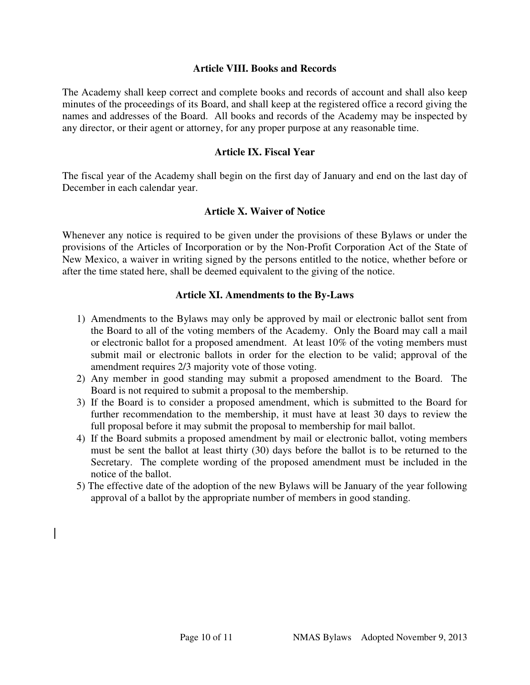#### **Article VIII. Books and Records**

The Academy shall keep correct and complete books and records of account and shall also keep minutes of the proceedings of its Board, and shall keep at the registered office a record giving the names and addresses of the Board. All books and records of the Academy may be inspected by any director, or their agent or attorney, for any proper purpose at any reasonable time.

### **Article IX. Fiscal Year**

The fiscal year of the Academy shall begin on the first day of January and end on the last day of December in each calendar year.

#### **Article X. Waiver of Notice**

Whenever any notice is required to be given under the provisions of these Bylaws or under the provisions of the Articles of Incorporation or by the Non-Profit Corporation Act of the State of New Mexico, a waiver in writing signed by the persons entitled to the notice, whether before or after the time stated here, shall be deemed equivalent to the giving of the notice.

## **Article XI. Amendments to the By-Laws**

- 1) Amendments to the Bylaws may only be approved by mail or electronic ballot sent from the Board to all of the voting members of the Academy. Only the Board may call a mail or electronic ballot for a proposed amendment. At least 10% of the voting members must submit mail or electronic ballots in order for the election to be valid; approval of the amendment requires 2/3 majority vote of those voting.
- 2) Any member in good standing may submit a proposed amendment to the Board. The Board is not required to submit a proposal to the membership.
- 3) If the Board is to consider a proposed amendment, which is submitted to the Board for further recommendation to the membership, it must have at least 30 days to review the full proposal before it may submit the proposal to membership for mail ballot.
- 4) If the Board submits a proposed amendment by mail or electronic ballot, voting members must be sent the ballot at least thirty (30) days before the ballot is to be returned to the Secretary. The complete wording of the proposed amendment must be included in the notice of the ballot.
- 5) The effective date of the adoption of the new Bylaws will be January of the year following approval of a ballot by the appropriate number of members in good standing.